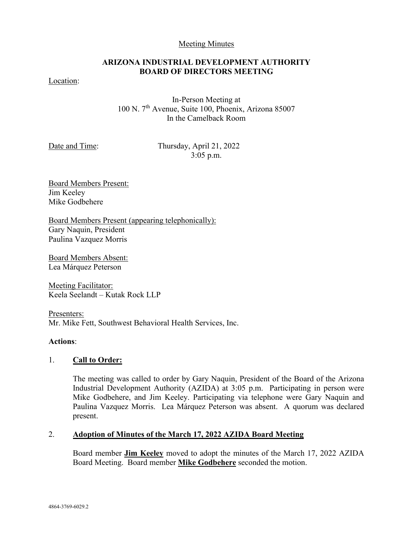#### Meeting Minutes

# **ARIZONA INDUSTRIAL DEVELOPMENT AUTHORITY BOARD OF DIRECTORS MEETING**

Location:

In-Person Meeting at 100 N. 7th Avenue, Suite 100, Phoenix, Arizona 85007 In the Camelback Room

Date and Time: Thursday, April 21, 2022 3:05 p.m.

Board Members Present: Jim Keeley Mike Godbehere

Board Members Present (appearing telephonically): Gary Naquin, President Paulina Vazquez Morris

Board Members Absent: Lea Márquez Peterson

Meeting Facilitator: Keela Seelandt – Kutak Rock LLP

Presenters: Mr. Mike Fett, Southwest Behavioral Health Services, Inc.

## **Actions**:

## 1. **Call to Order:**

The meeting was called to order by Gary Naquin, President of the Board of the Arizona Industrial Development Authority (AZIDA) at 3:05 p.m. Participating in person were Mike Godbehere, and Jim Keeley. Participating via telephone were Gary Naquin and Paulina Vazquez Morris. Lea Márquez Peterson was absent. A quorum was declared present.

## 2. **Adoption of Minutes of the March 17, 2022 AZIDA Board Meeting**

Board member **Jim Keeley** moved to adopt the minutes of the March 17, 2022 AZIDA Board Meeting. Board member **Mike Godbehere** seconded the motion.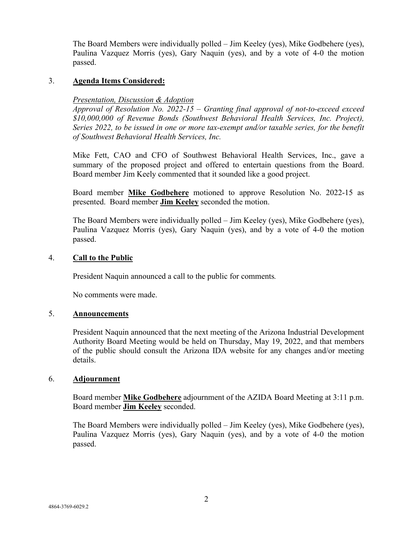The Board Members were individually polled – Jim Keeley (yes), Mike Godbehere (yes), Paulina Vazquez Morris (yes), Gary Naquin (yes), and by a vote of 4-0 the motion passed.

## 3. **Agenda Items Considered:**

### *Presentation, Discussion & Adoption*

*Approval of Resolution No. 2022-15 – Granting final approval of not-to-exceed exceed \$10,000,000 of Revenue Bonds (Southwest Behavioral Health Services, Inc. Project), Series 2022, to be issued in one or more tax-exempt and/or taxable series, for the benefit of Southwest Behavioral Health Services, Inc.*

Mike Fett, CAO and CFO of Southwest Behavioral Health Services, Inc., gave a summary of the proposed project and offered to entertain questions from the Board. Board member Jim Keely commented that it sounded like a good project.

Board member **Mike Godbehere** motioned to approve Resolution No. 2022-15 as presented. Board member **Jim Keeley** seconded the motion.

The Board Members were individually polled – Jim Keeley (yes), Mike Godbehere (yes), Paulina Vazquez Morris (yes), Gary Naquin (yes), and by a vote of 4-0 the motion passed.

#### 4. **Call to the Public**

President Naquin announced a call to the public for comments*.*

No comments were made.

#### 5. **Announcements**

President Naquin announced that the next meeting of the Arizona Industrial Development Authority Board Meeting would be held on Thursday, May 19, 2022, and that members of the public should consult the Arizona IDA website for any changes and/or meeting details.

#### 6. **Adjournment**

Board member **Mike Godbehere** adjournment of the AZIDA Board Meeting at 3:11 p.m. Board member **Jim Keeley** seconded.

The Board Members were individually polled – Jim Keeley (yes), Mike Godbehere (yes), Paulina Vazquez Morris (yes), Gary Naquin (yes), and by a vote of 4-0 the motion passed.